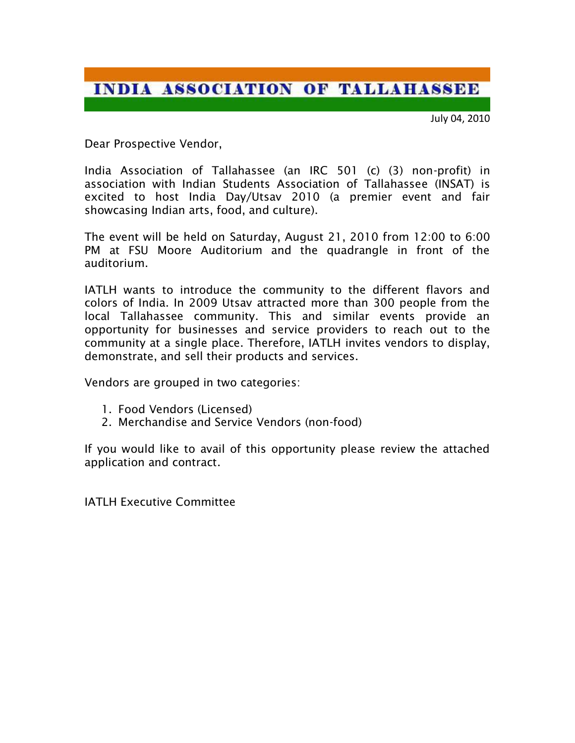## **INDIA ASSOCIATION OF TALLAHASSEE**

July 04, 2010

Dear Prospective Vendor,

India Association of Tallahassee (an IRC 501 (c) (3) non-profit) in association with Indian Students Association of Tallahassee (INSAT) is excited to host India Day/Utsav 2010 (a premier event and fair showcasing Indian arts, food, and culture).

The event will be held on Saturday, August 21, 2010 from 12:00 to 6:00 PM at FSU Moore Auditorium and the quadrangle in front of the auditorium.

IATLH wants to introduce the community to the different flavors and colors of India. In 2009 Utsav attracted more than 300 people from the local Tallahassee community. This and similar events provide an opportunity for businesses and service providers to reach out to the community at a single place. Therefore, IATLH invites vendors to display, demonstrate, and sell their products and services.

Vendors are grouped in two categories:

- 1. Food Vendors (Licensed)
- 2. Merchandise and Service Vendors (non-food)

If you would like to avail of this opportunity please review the attached application and contract.

IATLH Executive Committee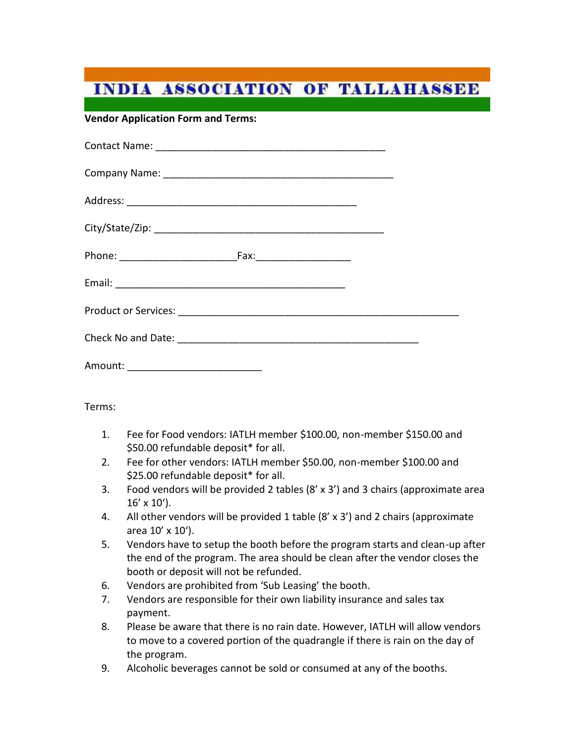## **INDIA ASSOCIATION OF TALLAHASSEE**

**Vendor Application Form and Terms:**

| Amount: ______________________________ |  |
|----------------------------------------|--|

Terms:

- 1. Fee for Food vendors: IATLH member \$100.00, non-member \$150.00 and \$50.00 refundable deposit\* for all.
- 2. Fee for other vendors: IATLH member \$50.00, non-member \$100.00 and \$25.00 refundable deposit\* for all.
- 3. Food vendors will be provided 2 tables (8' x 3') and 3 chairs (approximate area  $16' \times 10'$ ).
- 4. All other vendors will be provided 1 table (8' x 3') and 2 chairs (approximate area 10' x 10').
- 5. Vendors have to setup the booth before the program starts and clean-up after the end of the program. The area should be clean after the vendor closes the booth or deposit will not be refunded.
- 6. Vendors are prohibited from 'Sub Leasing' the booth.
- 7. Vendors are responsible for their own liability insurance and sales tax payment.
- 8. Please be aware that there is no rain date. However, IATLH will allow vendors to move to a covered portion of the quadrangle if there is rain on the day of the program.
- 9. Alcoholic beverages cannot be sold or consumed at any of the booths.